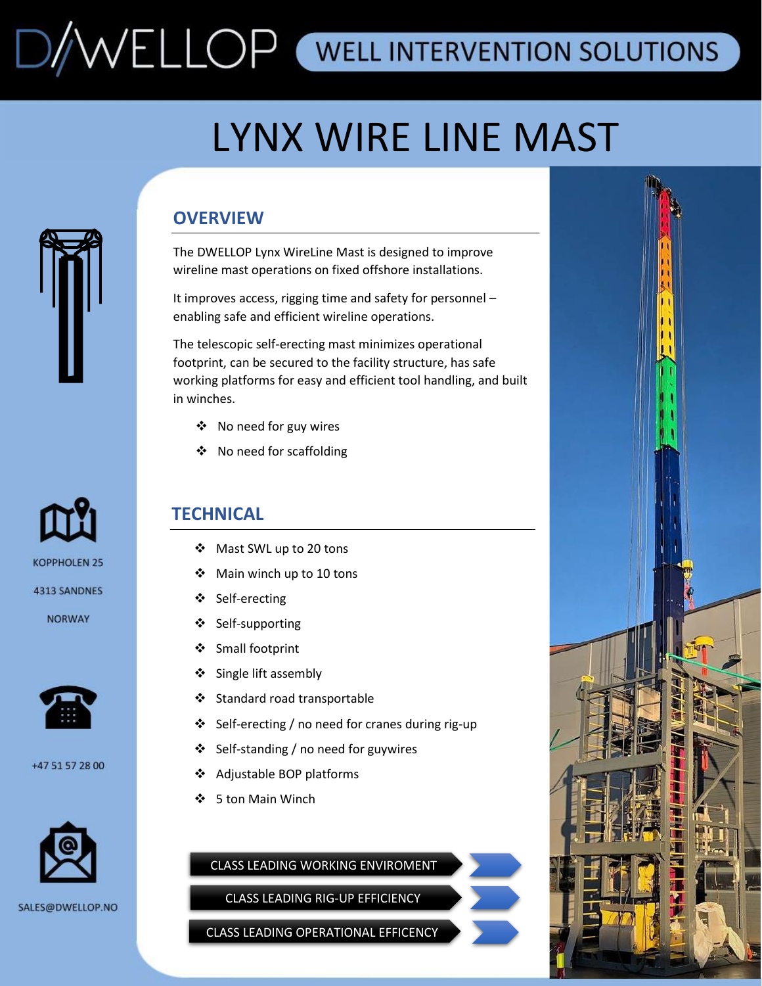# D/WELLOP WELL INTERVENTION SOLUTIONS

# LYNX WIRE LINE MAST





**KOPPHOLEN 25** 



+47 51 57 28 00



SALES@DWELLOP.NO

### **OVERVIEW**

The DWELLOP Lynx WireLine Mast is designed to improve wireline mast operations on fixed offshore installations.

It improves access, rigging time and safety for personnel – enabling safe and efficient wireline operations.

The telescopic self-erecting mast minimizes operational footprint, can be secured to the facility structure, has safe working platforms for easy and efficient tool handling, and built in winches.

- ❖ No need for guy wires
- ❖ No need for scaffolding

### **TECHNICAL**

- ❖ Mast SWL up to 20 tons
- ❖ Main winch up to 10 tons
- ❖ Self-erecting
- ❖ Self-supporting
- ❖ Small footprint
- ❖ Single lift assembly
- ❖ Standard road transportable
- ❖ Self-erecting / no need for cranes during rig-up
- ❖ Self-standing / no need for guywires
- ❖ Adjustable BOP platforms
- ❖ 5 ton Main Winch

#### CLASS LEADING WORKING ENVIROMENT

CLASS LEADING RIG-UP EFFICIENCY

CLASS LEADING OPERATIONAL EFFICENCY